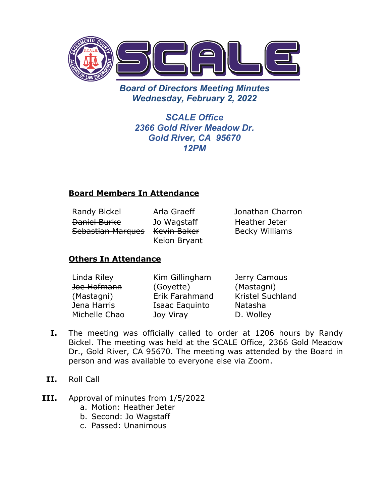

*Board of Directors Meeting Minutes Wednesday, February 2, 2022*

> *SCALE Office 2366 Gold River Meadow Dr. Gold River, CA 95670 12PM*

## **Board Members In Attendance**

| <b>Randy Bickel</b> | Arla Graeff  |
|---------------------|--------------|
| Daniel Burke        | Jo Wagstaff  |
| Sebastian Marques   | Kevin Baker  |
|                     | Keion Bryant |

aeff Jonathan Charron Heather Jeter Becky Williams

## **Others In Attendance**

| Linda Riley   | Kim Gillingham | Jerry Camous            |
|---------------|----------------|-------------------------|
| Joe Hofmann   | (Goyette)      | (Mastagni)              |
| (Mastagni)    | Erik Farahmand | <b>Kristel Suchland</b> |
| Jena Harris   | Isaac Eaquinto | Natasha                 |
| Michelle Chao | Joy Viray      | D. Wolley               |

- **I.** The meeting was officially called to order at 1206 hours by Randy Bickel. The meeting was held at the SCALE Office, 2366 Gold Meadow Dr., Gold River, CA 95670. The meeting was attended by the Board in person and was available to everyone else via Zoom.
- **II.** Roll Call
- **III.** Approval of minutes from 1/5/2022
	- a. Motion: Heather Jeter
	- b. Second: Jo Wagstaff
	- c. Passed: Unanimous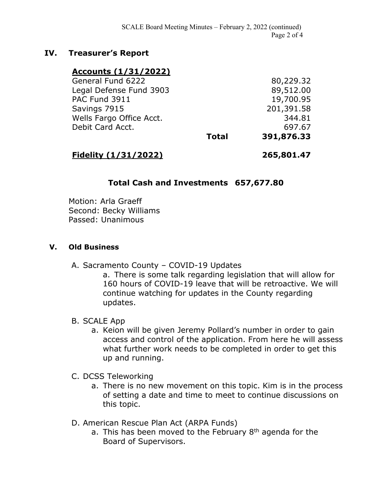### **IV. Treasurer's Report**

### **Accounts (1/31/2022)**

| <b>Total</b> | 391,876.33 |
|--------------|------------|
|              | 697.67     |
|              | 344.81     |
|              | 201,391.58 |
|              | 19,700.95  |
|              | 89,512.00  |
|              | 80,229.32  |
|              |            |

### **Fidelity (1/31/2022) 265,801.47**

## **Total Cash and Investments 657,677.80**

Motion: Arla Graeff Second: Becky Williams Passed: Unanimous

#### **V. Old Business**

A. Sacramento County – COVID-19 Updates

a. There is some talk regarding legislation that will allow for 160 hours of COVID-19 leave that will be retroactive. We will continue watching for updates in the County regarding updates.

#### B. SCALE App

- a. Keion will be given Jeremy Pollard's number in order to gain access and control of the application. From here he will assess what further work needs to be completed in order to get this up and running.
- C. DCSS Teleworking
	- a. There is no new movement on this topic. Kim is in the process of setting a date and time to meet to continue discussions on this topic.
- D. American Rescue Plan Act (ARPA Funds)
	- a. This has been moved to the February  $8<sup>th</sup>$  agenda for the Board of Supervisors.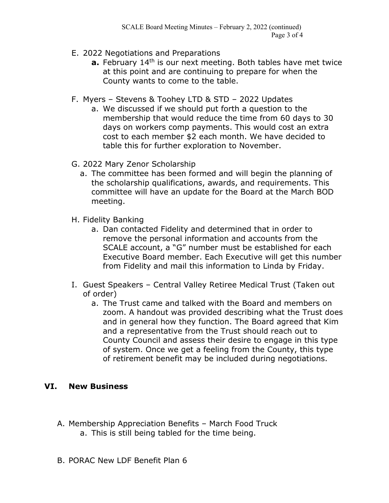- E. 2022 Negotiations and Preparations
	- **a.** February 14<sup>th</sup> is our next meeting. Both tables have met twice at this point and are continuing to prepare for when the County wants to come to the table.
- F. Myers Stevens & Toohey LTD & STD 2022 Updates
	- a. We discussed if we should put forth a question to the membership that would reduce the time from 60 days to 30 days on workers comp payments. This would cost an extra cost to each member \$2 each month. We have decided to table this for further exploration to November.
- G. 2022 Mary Zenor Scholarship
	- a. The committee has been formed and will begin the planning of the scholarship qualifications, awards, and requirements. This committee will have an update for the Board at the March BOD meeting.
- H. Fidelity Banking
	- a. Dan contacted Fidelity and determined that in order to remove the personal information and accounts from the SCALE account, a "G" number must be established for each Executive Board member. Each Executive will get this number from Fidelity and mail this information to Linda by Friday.
- I. Guest Speakers Central Valley Retiree Medical Trust (Taken out of order)
	- a. The Trust came and talked with the Board and members on zoom. A handout was provided describing what the Trust does and in general how they function. The Board agreed that Kim and a representative from the Trust should reach out to County Council and assess their desire to engage in this type of system. Once we get a feeling from the County, this type of retirement benefit may be included during negotiations.

## **VI. New Business**

- A. Membership Appreciation Benefits March Food Truck a. This is still being tabled for the time being.
- B. PORAC New LDF Benefit Plan 6